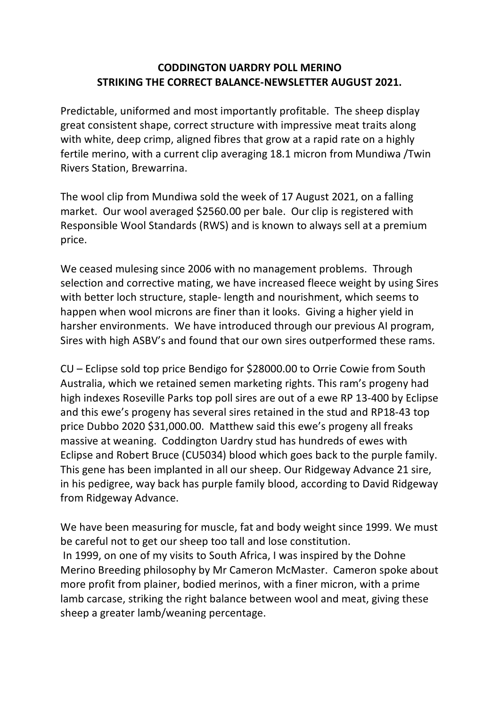## **CODDINGTON UARDRY POLL MERINO STRIKING THE CORRECT BALANCE-NEWSLETTER AUGUST 2021.**

Predictable, uniformed and most importantly profitable. The sheep display great consistent shape, correct structure with impressive meat traits along with white, deep crimp, aligned fibres that grow at a rapid rate on a highly fertile merino, with a current clip averaging 18.1 micron from Mundiwa /Twin Rivers Station, Brewarrina.

The wool clip from Mundiwa sold the week of 17 August 2021, on a falling market. Our wool averaged \$2560.00 per bale. Our clip is registered with Responsible Wool Standards (RWS) and is known to always sell at a premium price.

We ceased mulesing since 2006 with no management problems. Through selection and corrective mating, we have increased fleece weight by using Sires with better loch structure, staple- length and nourishment, which seems to happen when wool microns are finer than it looks. Giving a higher yield in harsher environments. We have introduced through our previous AI program, Sires with high ASBV's and found that our own sires outperformed these rams.

CU – Eclipse sold top price Bendigo for \$28000.00 to Orrie Cowie from South Australia, which we retained semen marketing rights. This ram's progeny had high indexes Roseville Parks top poll sires are out of a ewe RP 13-400 by Eclipse and this ewe's progeny has several sires retained in the stud and RP18-43 top price Dubbo 2020 \$31,000.00. Matthew said this ewe's progeny all freaks massive at weaning. Coddington Uardry stud has hundreds of ewes with Eclipse and Robert Bruce (CU5034) blood which goes back to the purple family. This gene has been implanted in all our sheep. Our Ridgeway Advance 21 sire, in his pedigree, way back has purple family blood, according to David Ridgeway from Ridgeway Advance.

We have been measuring for muscle, fat and body weight since 1999. We must be careful not to get our sheep too tall and lose constitution. In 1999, on one of my visits to South Africa, I was inspired by the Dohne Merino Breeding philosophy by Mr Cameron McMaster. Cameron spoke about more profit from plainer, bodied merinos, with a finer micron, with a prime lamb carcase, striking the right balance between wool and meat, giving these sheep a greater lamb/weaning percentage.